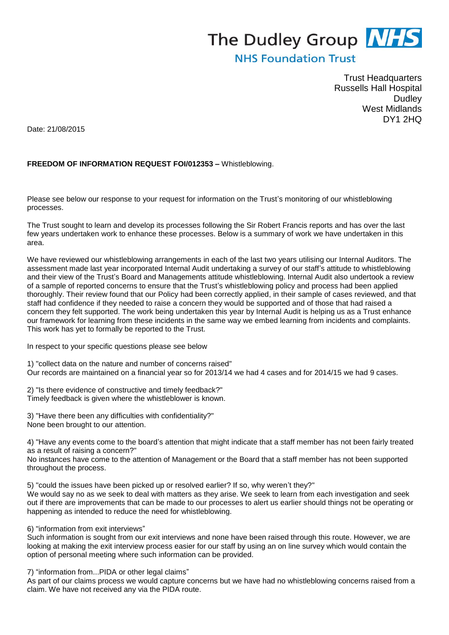## The Dudley Group **NHS**

## **NHS Foundation Trust**

Trust Headquarters Russells Hall Hospital **Dudley** West Midlands DY1 2HQ

Date: 21/08/2015

## **FREEDOM OF INFORMATION REQUEST FOI/012353 –** Whistleblowing.

Please see below our response to your request for information on the Trust's monitoring of our whistleblowing processes.

The Trust sought to learn and develop its processes following the Sir Robert Francis reports and has over the last few years undertaken work to enhance these processes. Below is a summary of work we have undertaken in this area.

We have reviewed our whistleblowing arrangements in each of the last two years utilising our Internal Auditors. The assessment made last year incorporated Internal Audit undertaking a survey of our staff's attitude to whistleblowing and their view of the Trust's Board and Managements attitude whistleblowing. Internal Audit also undertook a review of a sample of reported concerns to ensure that the Trust's whistleblowing policy and process had been applied thoroughly. Their review found that our Policy had been correctly applied, in their sample of cases reviewed, and that staff had confidence if they needed to raise a concern they would be supported and of those that had raised a concern they felt supported. The work being undertaken this year by Internal Audit is helping us as a Trust enhance our framework for learning from these incidents in the same way we embed learning from incidents and complaints. This work has yet to formally be reported to the Trust.

In respect to your specific questions please see below

1) "collect data on the nature and number of concerns raised" Our records are maintained on a financial year so for 2013/14 we had 4 cases and for 2014/15 we had 9 cases.

2) "Is there evidence of constructive and timely feedback?" Timely feedback is given where the whistleblower is known.

3) "Have there been any difficulties with confidentiality?" None been brought to our attention.

4) "Have any events come to the board's attention that might indicate that a staff member has not been fairly treated as a result of raising a concern?"

No instances have come to the attention of Management or the Board that a staff member has not been supported throughout the process.

5) "could the issues have been picked up or resolved earlier? If so, why weren't they?"

We would say no as we seek to deal with matters as they arise. We seek to learn from each investigation and seek out if there are improvements that can be made to our processes to alert us earlier should things not be operating or happening as intended to reduce the need for whistleblowing.

6) "information from exit interviews"

Such information is sought from our exit interviews and none have been raised through this route. However, we are looking at making the exit interview process easier for our staff by using an on line survey which would contain the option of personal meeting where such information can be provided.

7) "information from...PIDA or other legal claims"

As part of our claims process we would capture concerns but we have had no whistleblowing concerns raised from a claim. We have not received any via the PIDA route.